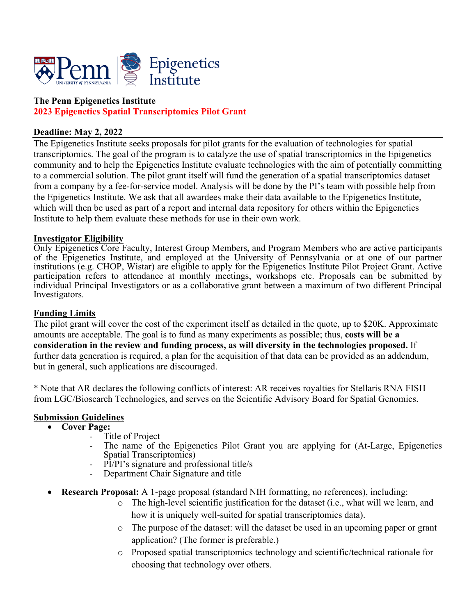

### **The Penn Epigenetics Institute 2023 Epigenetics Spatial Transcriptomics Pilot Grant**

#### **Deadline: May 2, 2022**

The Epigenetics Institute seeks proposals for pilot grants for the evaluation of technologies for spatial transcriptomics. The goal of the program is to catalyze the use of spatial transcriptomics in the Epigenetics community and to help the Epigenetics Institute evaluate technologies with the aim of potentially committing to a commercial solution. The pilot grant itself will fund the generation of a spatial transcriptomics dataset from a company by a fee-for-service model. Analysis will be done by the PI's team with possible help from the Epigenetics Institute. We ask that all awardees make their data available to the Epigenetics Institute, which will then be used as part of a report and internal data repository for others within the Epigenetics Institute to help them evaluate these methods for use in their own work.

#### **Investigator Eligibility**

Only Epigenetics Core Faculty, Interest Group Members, and Program Members who are active participants of the Epigenetics Institute, and employed at the University of Pennsylvania or at one of our partner institutions (e.g. CHOP, Wistar) are eligible to apply for the Epigenetics Institute Pilot Project Grant. Active participation refers to attendance at monthly meetings, workshops etc. Proposals can be submitted by individual Principal Investigators or as a collaborative grant between a maximum of two different Principal Investigators.

#### **Funding Limits**

The pilot grant will cover the cost of the experiment itself as detailed in the quote, up to \$20K. Approximate amounts are acceptable. The goal is to fund as many experiments as possible; thus, **costs will be a consideration in the review and funding process, as will diversity in the technologies proposed.** If further data generation is required, a plan for the acquisition of that data can be provided as an addendum, but in general, such applications are discouraged.

\* Note that AR declares the following conflicts of interest: AR receives royalties for Stellaris RNA FISH from LGC/Biosearch Technologies, and serves on the Scientific Advisory Board for Spatial Genomics.

# **Submission Guidelines** • **Cover Page:**

- -
	- The name of the Epigenetics Pilot Grant you are applying for (At-Large, Epigenetics Spatial Transcriptomics)
	- PI/PI's signature and professional title/s<br>Department Chair Signature and title
	-
- **Research Proposal:** A 1-page proposal (standard NIH formatting, no references), including:
	- $\circ$  The high-level scientific justification for the dataset (i.e., what will we learn, and how it is uniquely well-suited for spatial transcriptomics data).
	- o The purpose of the dataset: will the dataset be used in an upcoming paper or grant application? (The former is preferable.)
	- o Proposed spatial transcriptomics technology and scientific/technical rationale for choosing that technology over others.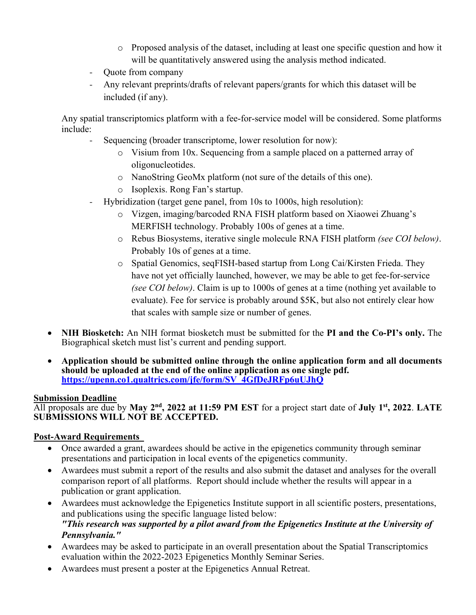- o Proposed analysis of the dataset, including at least one specific question and how it will be quantitatively answered using the analysis method indicated.
- Quote from company
- Any relevant preprints/drafts of relevant papers/grants for which this dataset will be included (if any).

Any spatial transcriptomics platform with a fee-for-service model will be considered. Some platforms include:

- Sequencing (broader transcriptome, lower resolution for now):
	- o Visium from 10x. Sequencing from a sample placed on a patterned array of oligonucleotides.
	- o NanoString GeoMx platform (not sure of the details of this one).
	- o Isoplexis. Rong Fan's startup.
- Hybridization (target gene panel, from 10s to 1000s, high resolution):
	- o Vizgen, imaging/barcoded RNA FISH platform based on Xiaowei Zhuang's MERFISH technology. Probably 100s of genes at a time.
	- o Rebus Biosystems, iterative single molecule RNA FISH platform *(see COI below)*. Probably 10s of genes at a time.
	- o Spatial Genomics, seqFISH-based startup from Long Cai/Kirsten Frieda. They have not yet officially launched, however, we may be able to get fee-for-service *(see COI below)*. Claim is up to 1000s of genes at a time (nothing yet available to evaluate). Fee for service is probably around \$5K, but also not entirely clear how that scales with sample size or number of genes.
- **NIH Biosketch:** An NIH format biosketch must be submitted for the **PI and the Co-PI's only.** The Biographical sketch must list's current and pending support.
- **Application should be submitted online through the online application form and all documents should be uploaded at the end of the online application as one single pdf. https://upenn.co1.qualtrics.com/jfe/form/SV\_4GfDeJRFp6uUJhQ**

#### **Submission Deadline**

All proposals are due by **May 2nd, 2022 at 11:59 PM EST** for a project start date of **July 1st, 2022**. **LATE SUBMISSIONS WILL NOT BE ACCEPTED.**

#### **Post-Award Requirements**

- Once awarded a grant, awardees should be active in the epigenetics community through seminar presentations and participation in local events of the epigenetics community.
- Awardees must submit a report of the results and also submit the dataset and analyses for the overall comparison report of all platforms. Report should include whether the results will appear in a publication or grant application.
- Awardees must acknowledge the Epigenetics Institute support in all scientific posters, presentations, and publications using the specific language listed below: *"This research was supported by a pilot award from the Epigenetics Institute at the University of Pennsylvania."*
- Awardees may be asked to participate in an overall presentation about the Spatial Transcriptomics evaluation within the 2022-2023 Epigenetics Monthly Seminar Series.
- Awardees must present a poster at the Epigenetics Annual Retreat.